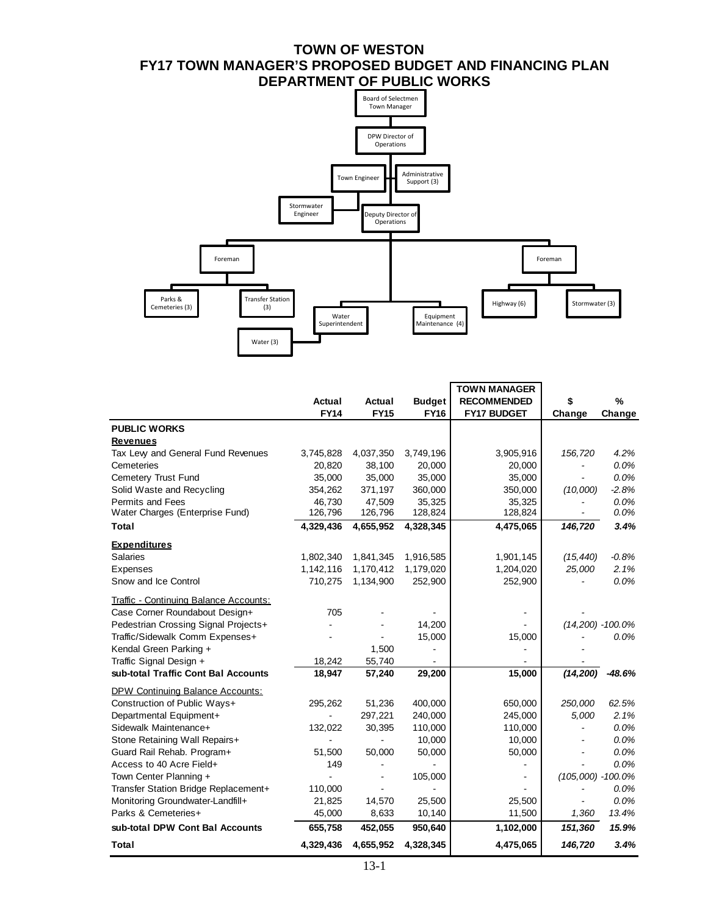# **TOWN OF WESTON FY17 TOWN MANAGER'S PROPOSED BUDGET AND FINANCING PLAN DEPARTMENT OF PUBLIC WORKS**



|                                        |                |             |               | <b>TOWN MANAGER</b> |                       |                      |
|----------------------------------------|----------------|-------------|---------------|---------------------|-----------------------|----------------------|
|                                        | Actual         | Actual      | <b>Budget</b> | <b>RECOMMENDED</b>  | \$                    | %                    |
|                                        | <b>FY14</b>    | <b>FY15</b> | <b>FY16</b>   | <b>FY17 BUDGET</b>  | Change                | Change               |
| <b>PUBLIC WORKS</b>                    |                |             |               |                     |                       |                      |
| <b>Revenues</b>                        |                |             |               |                     |                       |                      |
| Tax Levy and General Fund Revenues     | 3,745,828      | 4,037,350   | 3,749,196     | 3,905,916           | 156,720               | 4.2%                 |
| Cemeteries                             | 20,820         | 38,100      | 20,000        | 20,000              |                       | 0.0%                 |
| Cemetery Trust Fund                    | 35,000         | 35,000      | 35,000        | 35,000              |                       | 0.0%                 |
| Solid Waste and Recycling              | 354,262        | 371,197     | 360,000       | 350,000             | (10,000)              | $-2.8%$              |
| <b>Permits and Fees</b>                | 46,730         | 47,509      | 35,325        | 35,325              |                       | 0.0%                 |
| Water Charges (Enterprise Fund)        | 126,796        | 126,796     | 128,824       | 128,824             |                       | 0.0%                 |
| Total                                  | 4,329,436      | 4,655,952   | 4,328,345     | 4,475,065           | 146,720               | 3.4%                 |
| <b>Expenditures</b>                    |                |             |               |                     |                       |                      |
| <b>Salaries</b>                        | 1,802,340      | 1,841,345   | 1,916,585     | 1,901,145           | (15, 440)             | $-0.8%$              |
| Expenses                               | 1,142,116      | 1,170,412   | 1,179,020     | 1,204,020           | 25,000                | 2.1%                 |
| Snow and Ice Control                   | 710,275        | 1,134,900   | 252,900       | 252,900             |                       | 0.0%                 |
| Traffic - Continuing Balance Accounts: |                |             |               |                     |                       |                      |
| Case Corner Roundabout Design+         | 705            |             |               |                     |                       |                      |
| Pedestrian Crossing Signal Projects+   |                |             | 14,200        |                     |                       | $(14,200) - 100.0\%$ |
| Traffic/Sidewalk Comm Expenses+        |                |             | 15,000        | 15,000              |                       | 0.0%                 |
| Kendal Green Parking +                 |                | 1,500       |               |                     |                       |                      |
| Traffic Signal Design +                | 18,242         | 55,740      |               |                     |                       |                      |
| sub-total Traffic Cont Bal Accounts    | 18,947         | 57,240      | 29,200        | 15,000              | (14, 200)             | $-48.6%$             |
| DPW Continuing Balance Accounts:       |                |             |               |                     |                       |                      |
| Construction of Public Ways+           | 295,262        | 51,236      | 400,000       | 650,000             | 250,000               | 62.5%                |
| Departmental Equipment+                |                | 297,221     | 240,000       | 245,000             | 5,000                 | 2.1%                 |
| Sidewalk Maintenance+                  | 132,022        | 30,395      | 110,000       | 110,000             |                       | 0.0%                 |
| Stone Retaining Wall Repairs+          | $\overline{a}$ |             | 10,000        | 10,000              |                       | 0.0%                 |
| Guard Rail Rehab. Program+             | 51,500         | 50,000      | 50,000        | 50,000              |                       | 0.0%                 |
| Access to 40 Acre Field+               | 149            |             |               |                     |                       | 0.0%                 |
| Town Center Planning +                 |                |             | 105,000       |                     | $(105,000) - 100.0\%$ |                      |
| Transfer Station Bridge Replacement+   | 110,000        |             |               |                     |                       | 0.0%                 |
| Monitoring Groundwater-Landfill+       | 21,825         | 14,570      | 25,500        | 25,500              |                       | 0.0%                 |
| Parks & Cemeteries+                    | 45,000         | 8,633       | 10,140        | 11,500              | 1,360                 | 13.4%                |
| sub-total DPW Cont Bal Accounts        | 655,758        | 452,055     | 950,640       | 1,102,000           | 151,360               | 15.9%                |
| Total                                  | 4,329,436      | 4,655,952   | 4,328,345     | 4,475,065           | 146,720               | 3.4%                 |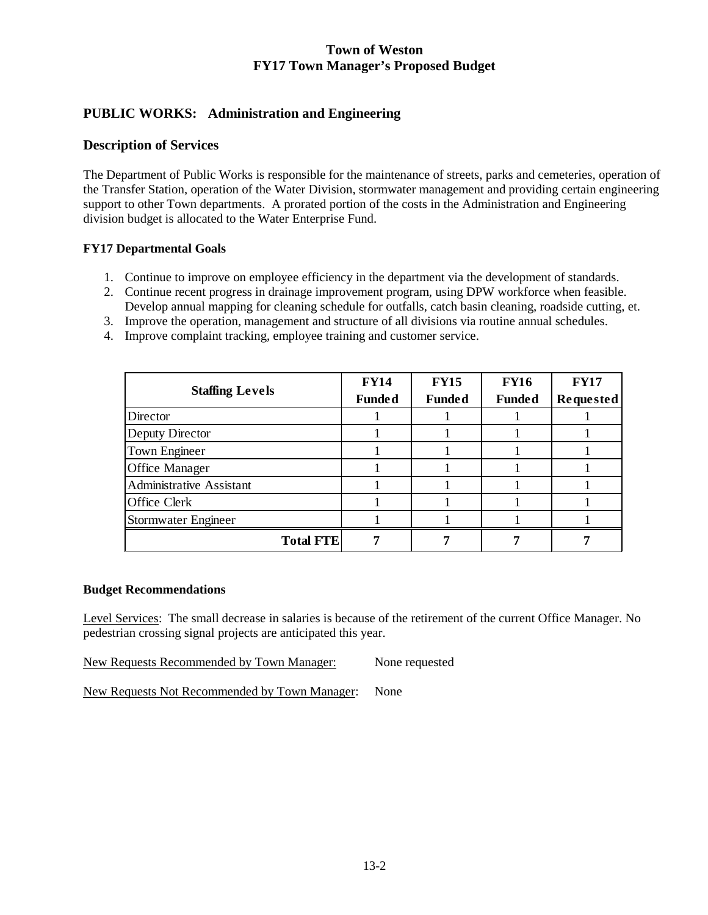## **PUBLIC WORKS: Administration and Engineering**

### **Description of Services**

The Department of Public Works is responsible for the maintenance of streets, parks and cemeteries, operation of the Transfer Station, operation of the Water Division, stormwater management and providing certain engineering support to other Town departments. A prorated portion of the costs in the Administration and Engineering division budget is allocated to the Water Enterprise Fund.

#### **FY17 Departmental Goals**

- 1. Continue to improve on employee efficiency in the department via the development of standards.
- 2. Continue recent progress in drainage improvement program, using DPW workforce when feasible. Develop annual mapping for cleaning schedule for outfalls, catch basin cleaning, roadside cutting, et.
- 3. Improve the operation, management and structure of all divisions via routine annual schedules.
- 4. Improve complaint tracking, employee training and customer service.

|                                 | <b>FY14</b>   | <b>FY15</b>   | <b>FY16</b>   | <b>FY17</b> |
|---------------------------------|---------------|---------------|---------------|-------------|
| <b>Staffing Levels</b>          | <b>Funded</b> | <b>Funded</b> | <b>Funded</b> | Requested   |
| Director                        |               |               |               |             |
| Deputy Director                 |               |               |               |             |
| Town Engineer                   |               |               |               |             |
| <b>Office Manager</b>           |               |               |               |             |
| <b>Administrative Assistant</b> |               |               |               |             |
| Office Clerk                    |               |               |               |             |
| Stormwater Engineer             |               |               |               |             |
| <b>Total FTE</b>                |               |               |               |             |

#### **Budget Recommendations**

Level Services: The small decrease in salaries is because of the retirement of the current Office Manager. No pedestrian crossing signal projects are anticipated this year.

New Requests Recommended by Town Manager: None requested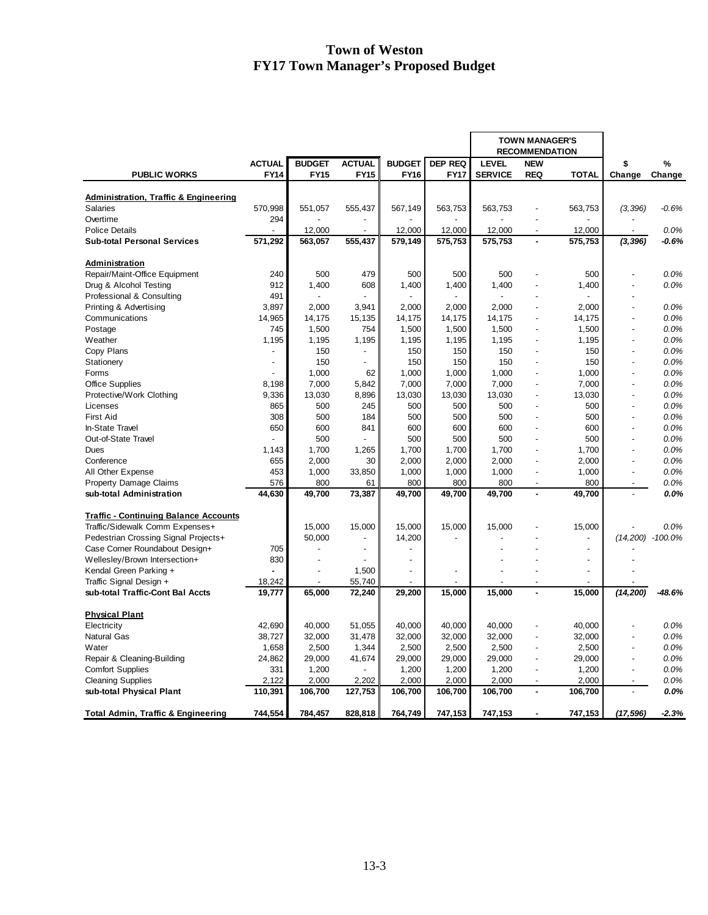|                                                  |                |                |                |                |                | <b>TOWN MANAGER'S</b> |                          |                |                |                  |
|--------------------------------------------------|----------------|----------------|----------------|----------------|----------------|-----------------------|--------------------------|----------------|----------------|------------------|
|                                                  |                |                |                |                |                |                       | <b>RECOMMENDATION</b>    |                |                |                  |
|                                                  | <b>ACTUAL</b>  | <b>BUDGET</b>  | <b>ACTUAL</b>  | <b>BUDGET</b>  | <b>DEP REQ</b> | <b>LEVEL</b>          | <b>NEW</b>               |                | \$             | %                |
| <b>PUBLIC WORKS</b>                              | <b>FY14</b>    | <b>FY15</b>    | <b>FY15</b>    | <b>FY16</b>    | <b>FY17</b>    | <b>SERVICE</b>        | <b>REQ</b>               | <b>TOTAL</b>   | Change         | Change           |
|                                                  |                |                |                |                |                |                       |                          |                |                |                  |
| <b>Administration, Traffic &amp; Engineering</b> |                |                |                |                |                |                       |                          |                |                |                  |
| Salaries                                         | 570,998        | 551,057        | 555,437        | 567,149        | 563,753        | 563,753               |                          | 563,753        | (3, 396)       | $-0.6%$          |
| Overtime                                         | 294            |                |                |                |                |                       |                          |                |                |                  |
| <b>Police Details</b>                            |                | 12,000         |                | 12,000         | 12,000         | 12,000                | $\overline{\phantom{a}}$ | 12,000         |                | 0.0%             |
| <b>Sub-total Personal Services</b>               | 571,292        | 563,057        | 555,437        | 579,149        | 575,753        | 575,753               |                          | 575,753        | (3, 396)       | $-0.6%$          |
|                                                  |                |                |                |                |                |                       |                          |                |                |                  |
| Administration                                   |                |                |                |                |                |                       |                          |                |                |                  |
| Repair/Maint-Office Equipment                    | 240            | 500            | 479            | 500            | 500            | 500                   |                          | 500            |                | 0.0%             |
| Drug & Alcohol Testing                           | 912            | 1,400          | 608            | 1,400          | 1,400          | 1,400                 | $\overline{a}$           | 1,400          |                | 0.0%             |
| Professional & Consulting                        | 491            | $\overline{a}$ |                |                |                |                       |                          |                |                |                  |
| Printing & Advertising                           | 3,897          | 2,000          | 3,941          | 2,000          | 2,000          | 2,000                 | $\overline{a}$           | 2,000          | $\overline{a}$ | 0.0%             |
| Communications                                   | 14,965         | 14,175         | 15,135         | 14,175         | 14,175         | 14,175                | $\overline{a}$           | 14,175         |                | 0.0%             |
| Postage                                          | 745            | 1,500          | 754            | 1,500          | 1,500          | 1,500                 | $\overline{a}$           | 1,500          | $\overline{a}$ | 0.0%             |
| Weather                                          | 1,195          | 1,195          | 1,195          | 1,195          | 1,195          | 1,195                 | $\overline{a}$           | 1,195          | $\overline{a}$ | 0.0%             |
| Copy Plans                                       |                | 150            |                | 150            | 150            | 150                   | $\overline{a}$           | 150            |                | 0.0%             |
| Stationery                                       | $\overline{a}$ | 150            | $\mathbf{r}$   | 150            | 150            | 150                   | $\overline{a}$           | 150            | $\overline{a}$ | 0.0%             |
| Forms                                            |                | 1,000          | 62             | 1,000          | 1,000          | 1,000                 | $\overline{a}$           | 1,000          | $\overline{a}$ | 0.0%             |
| <b>Office Supplies</b>                           | 8,198          | 7,000          | 5,842          | 7,000          | 7,000          | 7,000                 | $\overline{a}$           | 7,000          |                | 0.0%             |
| Protective/Work Clothing                         | 9,336          | 13,030         | 8,896          | 13,030         | 13,030         | 13,030                | $\overline{a}$           | 13,030         | $\overline{a}$ | 0.0%             |
| Licenses                                         | 865            | 500            | 245            | 500            | 500            | 500                   | $\overline{a}$           | 500            | $\overline{a}$ | 0.0%             |
| <b>First Aid</b>                                 | 308            | 500            | 184            | 500            | 500            | 500                   | $\overline{a}$           | 500            | $\overline{a}$ | 0.0%             |
| In-State Travel                                  | 650            | 600            | 841            | 600            | 600            | 600                   | $\overline{a}$           | 600            |                | 0.0%             |
| Out-of-State Travel                              |                | 500            |                | 500            | 500            | 500                   | $\overline{a}$           | 500            |                | 0.0%             |
| Dues                                             | 1,143          | 1,700          | 1,265          | 1,700          | 1,700          | 1,700                 | $\overline{a}$           | 1,700          | $\overline{a}$ | 0.0%             |
| Conference                                       | 655            | 2,000          | 30             | 2,000          | 2,000          | 2,000                 | $\overline{a}$           | 2,000          |                | 0.0%             |
| All Other Expense                                | 453            | 1,000          | 33,850         | 1,000          | 1,000          | 1,000                 | $\overline{a}$           | 1,000          | $\overline{a}$ | 0.0%             |
| <b>Property Damage Claims</b>                    | 576            | 800            | 61             | 800            | 800            | 800                   | $\blacksquare$           | 800            | $\overline{a}$ | 0.0%             |
| sub-total Administration                         | 44,630         |                | 73,387         | 49,700         |                | 49,700                | $\overline{\phantom{a}}$ | 49,700         |                | 0.0%             |
|                                                  |                | 49,700         |                |                | 49,700         |                       |                          |                |                |                  |
| <b>Traffic - Continuing Balance Accounts</b>     |                |                |                |                |                |                       |                          |                |                |                  |
| Traffic/Sidewalk Comm Expenses+                  |                | 15,000         | 15,000         | 15,000         | 15,000         | 15,000                |                          | 15,000         |                | 0.0%             |
| Pedestrian Crossing Signal Projects+             |                | 50,000         | $\overline{a}$ | 14,200         |                |                       |                          | $\overline{a}$ |                | (14,200) -100.0% |
| Case Corner Roundabout Design+                   | 705            |                | $\overline{a}$ |                |                |                       |                          |                |                |                  |
|                                                  | 830            | $\overline{a}$ |                |                |                |                       |                          |                |                |                  |
| Wellesley/Brown Intersection+                    |                | $\overline{a}$ |                | $\overline{a}$ | $\blacksquare$ |                       |                          |                |                |                  |
| Kendal Green Parking +                           |                |                | 1,500          |                |                |                       |                          |                |                |                  |
| Traffic Signal Design +                          | 18,242         |                | 55,740         |                |                |                       | ä,                       |                |                |                  |
| sub-total Traffic-Cont Bal Accts                 | 19,777         | 65,000         | 72,240         | 29,200         | 15,000         | 15,000                |                          | 15,000         | (14, 200)      | $-48.6%$         |
| <b>Physical Plant</b>                            |                |                |                |                |                |                       |                          |                |                |                  |
| Electricity                                      | 42,690         | 40,000         | 51,055         | 40,000         | 40,000         | 40,000                | $\overline{a}$           | 40,000         |                | 0.0%             |
|                                                  |                |                |                |                |                |                       | $\overline{a}$           |                |                |                  |
| <b>Natural Gas</b>                               | 38,727         | 32,000         | 31,478         | 32,000         | 32,000         | 32,000                |                          | 32,000         |                | 0.0%             |
| Water                                            | 1,658          | 2,500          | 1,344          | 2,500          | 2,500          | 2,500                 | $\overline{\phantom{a}}$ | 2,500          | $\overline{a}$ | 0.0%             |
| Repair & Cleaning-Building                       | 24,862         | 29,000         | 41,674         | 29,000         | 29,000         | 29,000                | $\overline{a}$           | 29,000         |                | 0.0%             |
| <b>Comfort Supplies</b>                          | 331            | 1,200          |                | 1,200          | 1,200          | 1,200                 | $\overline{a}$           | 1,200          | $\overline{a}$ | 0.0%             |
| <b>Cleaning Supplies</b>                         | 2,122          | 2,000          | 2,202          | 2,000          | 2,000          | 2,000                 | $\overline{a}$           | 2,000          |                | 0.0%             |
| sub-total Physical Plant                         | 110,391        | 106,700        | 127,753        | 106,700        | 106,700        | 106,700               |                          | 106,700        |                | 0.0%             |
| <b>Total Admin, Traffic &amp; Engineering</b>    | 744,554        | 784,457        | 828,818        | 764,749        | 747,153        | 747,153               | $\blacksquare$           | 747,153        | (17, 596)      | $-2.3%$          |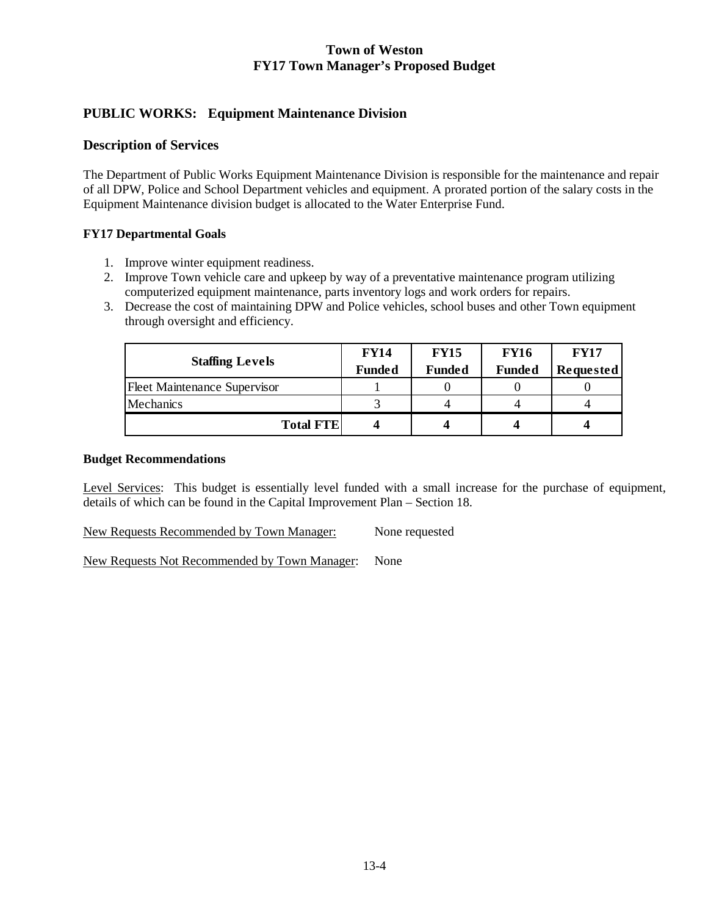# **PUBLIC WORKS: Equipment Maintenance Division**

### **Description of Services**

The Department of Public Works Equipment Maintenance Division is responsible for the maintenance and repair of all DPW, Police and School Department vehicles and equipment. A prorated portion of the salary costs in the Equipment Maintenance division budget is allocated to the Water Enterprise Fund.

### **FY17 Departmental Goals**

- 1. Improve winter equipment readiness.
- 2. Improve Town vehicle care and upkeep by way of a preventative maintenance program utilizing computerized equipment maintenance, parts inventory logs and work orders for repairs.
- 3. Decrease the cost of maintaining DPW and Police vehicles, school buses and other Town equipment through oversight and efficiency.

| <b>Staffing Levels</b>              | <b>FY14</b>   | <b>FY15</b>   | <b>FY16</b>   | <b>FY17</b> |
|-------------------------------------|---------------|---------------|---------------|-------------|
|                                     | <b>Funded</b> | <b>Funded</b> | <b>Funded</b> | Requested   |
| <b>Fleet Maintenance Supervisor</b> |               |               |               |             |
| Mechanics                           |               |               |               |             |
| <b>Total FTE</b>                    |               |               |               |             |

### **Budget Recommendations**

Level Services: This budget is essentially level funded with a small increase for the purchase of equipment, details of which can be found in the Capital Improvement Plan – Section 18.

New Requests Recommended by Town Manager: None requested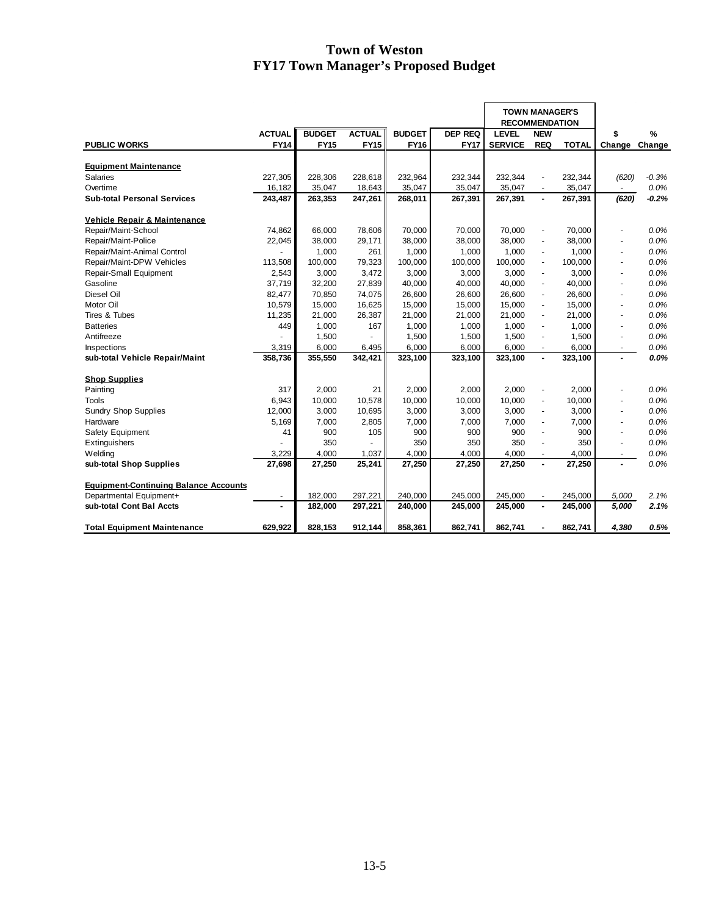|                                              |                |                    |                    |                    |                    | <b>TOWN MANAGER'S</b><br><b>RECOMMENDATION</b> |                          |                    |                          |               |
|----------------------------------------------|----------------|--------------------|--------------------|--------------------|--------------------|------------------------------------------------|--------------------------|--------------------|--------------------------|---------------|
|                                              | <b>ACTUAL</b>  | <b>BUDGET</b>      | <b>ACTUAL</b>      | <b>BUDGET</b>      | <b>DEP REQ</b>     | <b>LEVEL</b>                                   | <b>NEW</b>               |                    | \$                       | $\frac{9}{6}$ |
| <b>PUBLIC WORKS</b>                          | <b>FY14</b>    | <b>FY15</b>        | <b>FY15</b>        | <b>FY16</b>        | <b>FY17</b>        | <b>SERVICE</b>                                 | <b>REQ</b>               | <b>TOTAL</b>       | Change                   | Change        |
|                                              |                |                    |                    |                    |                    |                                                |                          |                    |                          |               |
| <b>Equipment Maintenance</b>                 |                |                    |                    |                    |                    |                                                |                          |                    |                          |               |
| Salaries                                     | 227,305        | 228,306            | 228,618            | 232,964            | 232,344            | 232,344                                        |                          | 232,344            | (620)                    | $-0.3%$       |
| Overtime                                     | 16,182         | 35,047             | 18,643             | 35,047             | 35,047             | 35,047                                         | $\blacksquare$           | 35,047             | $\sim$                   | 0.0%          |
| <b>Sub-total Personal Services</b>           | 243,487        | 263,353            | 247,261            | 268,011            | 267,391            | 267,391                                        | $\overline{\phantom{a}}$ | 267,391            | (620)                    | $-0.2%$       |
| Vehicle Repair & Maintenance                 |                |                    |                    |                    |                    |                                                |                          |                    |                          |               |
| Repair/Maint-School                          | 74,862         | 66,000             | 78,606             | 70,000             | 70,000             | 70.000                                         | $\overline{a}$           | 70,000             |                          | 0.0%          |
| Repair/Maint-Police                          | 22,045         | 38,000             | 29,171             | 38,000             | 38,000             | 38,000                                         | ÷,                       | 38,000             | $\tilde{\phantom{a}}$    | 0.0%          |
| Repair/Maint-Animal Control                  |                | 1,000              | 261                | 1,000              | 1,000              | 1.000                                          | $\overline{\phantom{a}}$ | 1,000              | $\tilde{\phantom{a}}$    | 0.0%          |
| Repair/Maint-DPW Vehicles                    | 113,508        | 100,000            | 79,323             | 100,000            | 100,000            | 100.000                                        | $\overline{\phantom{a}}$ | 100,000            | $\overline{\phantom{a}}$ | 0.0%          |
| Repair-Small Equipment                       | 2,543          | 3,000              | 3,472              | 3,000              | 3,000              | 3,000                                          | $\overline{\phantom{a}}$ | 3,000              | $\overline{\phantom{a}}$ | 0.0%          |
| Gasoline                                     | 37,719         | 32,200             | 27,839             | 40,000             | 40,000             | 40,000                                         | $\overline{\phantom{a}}$ | 40,000             | $\tilde{\phantom{a}}$    | 0.0%          |
| Diesel Oil                                   | 82,477         | 70,850             | 74,075             | 26,600             | 26,600             | 26,600                                         | ÷,                       | 26,600             | $\overline{\phantom{a}}$ | 0.0%          |
| Motor Oil                                    | 10,579         | 15,000             | 16,625             | 15,000             | 15,000             | 15,000                                         | $\blacksquare$           | 15,000             | $\overline{\phantom{a}}$ | 0.0%          |
| Tires & Tubes                                | 11,235         | 21,000             | 26,387             | 21,000             | 21,000             | 21,000                                         | $\blacksquare$           | 21,000             | $\sim$                   | 0.0%          |
| <b>Batteries</b>                             | 449            | 1,000              | 167                | 1,000              | 1,000              | 1,000                                          | $\blacksquare$           | 1,000              | $\blacksquare$           | 0.0%          |
| Antifreeze                                   |                | 1,500              |                    | 1,500              | 1,500              | 1,500                                          | $\blacksquare$           | 1,500              | $\tilde{\phantom{a}}$    | 0.0%          |
| Inspections                                  | 3,319          | 6,000              | 6,495              | 6,000              | 6,000              | 6,000                                          | $\overline{\phantom{a}}$ | 6,000              | $\blacksquare$           | 0.0%          |
| sub-total Vehicle Repair/Maint               | 358,736        | 355,550            | 342,421            | 323,100            | 323,100            | 323,100                                        | $\blacksquare$           | 323,100            |                          | 0.0%          |
|                                              |                |                    |                    |                    |                    |                                                |                          |                    |                          |               |
| <b>Shop Supplies</b>                         |                |                    |                    |                    |                    |                                                |                          |                    |                          |               |
| Painting                                     | 317            | 2,000              | 21                 | 2,000              | 2,000              | 2.000                                          | $\blacksquare$           | 2,000              |                          | $0.0\%$       |
| Tools                                        | 6,943          | 10,000             | 10,578             | 10,000             | 10,000             | 10,000                                         | $\blacksquare$           | 10,000             | ÷.                       | 0.0%          |
| Sundry Shop Supplies                         | 12,000         | 3,000              | 10,695             | 3,000              | 3,000              | 3,000                                          | $\blacksquare$           | 3,000              | $\sim$                   | 0.0%          |
| Hardware                                     | 5.169          | 7,000              | 2,805              | 7,000              | 7,000              | 7,000                                          | ÷,                       | 7.000              | $\sim$                   | 0.0%          |
| Safety Equipment                             | 41             | 900                | 105                | 900                | 900                | 900                                            | $\blacksquare$           | 900                | ÷.                       | 0.0%          |
| Extinguishers                                |                | 350                |                    | 350                | 350                | 350                                            | $\blacksquare$           | 350                | $\overline{\phantom{a}}$ | 0.0%          |
| Welding                                      | 3,229          | 4,000              | 1,037              | 4,000              | 4,000              | 4,000                                          | $\overline{\phantom{a}}$ | 4,000              |                          | 0.0%          |
| sub-total Shop Supplies                      | 27,698         | 27,250             | 25,241             | 27,250             | 27,250             | 27,250                                         | $\overline{a}$           | 27,250             | $\overline{a}$           | 0.0%          |
| <b>Equipment-Continuing Balance Accounts</b> |                |                    |                    |                    |                    |                                                |                          |                    |                          |               |
| Departmental Equipment+                      |                |                    |                    |                    |                    |                                                |                          |                    |                          | 2.1%          |
| sub-total Cont Bal Accts                     | $\blacksquare$ | 182,000<br>182,000 | 297,221<br>297,221 | 240,000<br>240,000 | 245,000<br>245,000 | 245,000<br>245,000                             | ÷,<br>$\blacksquare$     | 245,000<br>245,000 | 5,000<br>5,000           | 2.1%          |
|                                              |                |                    |                    |                    |                    |                                                |                          |                    |                          |               |
| <b>Total Equipment Maintenance</b>           | 629,922        | 828,153            | 912,144            | 858,361            | 862,741            | 862,741                                        |                          | 862,741            | 4,380                    | 0.5%          |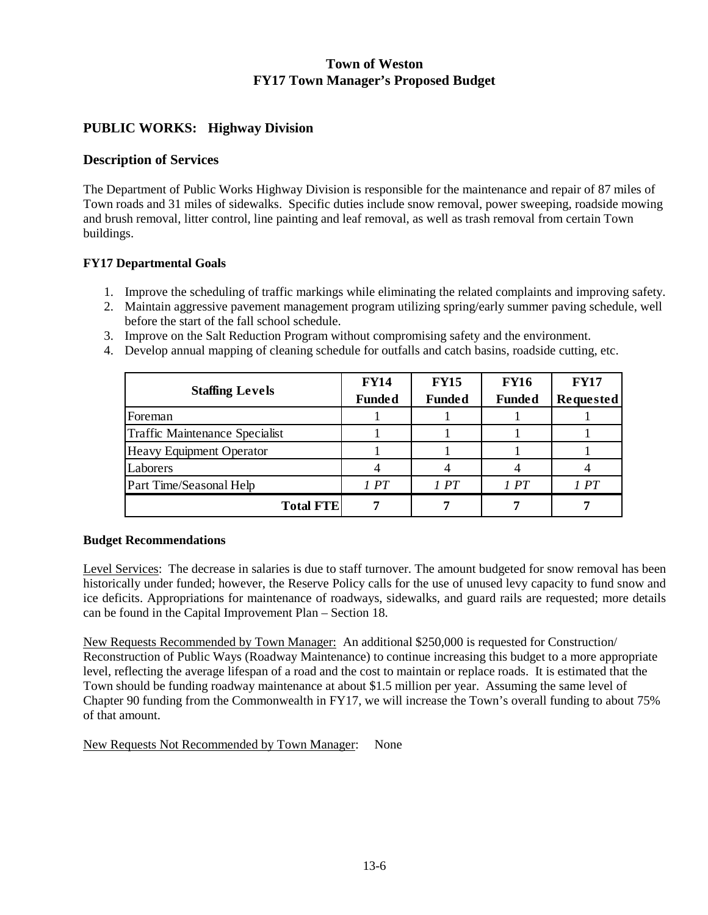## **PUBLIC WORKS: Highway Division**

### **Description of Services**

The Department of Public Works Highway Division is responsible for the maintenance and repair of 87 miles of Town roads and 31 miles of sidewalks. Specific duties include snow removal, power sweeping, roadside mowing and brush removal, litter control, line painting and leaf removal, as well as trash removal from certain Town buildings.

### **FY17 Departmental Goals**

- 1. Improve the scheduling of traffic markings while eliminating the related complaints and improving safety.
- 2. Maintain aggressive pavement management program utilizing spring/early summer paving schedule, well before the start of the fall school schedule.
- 3. Improve on the Salt Reduction Program without compromising safety and the environment.
- 4. Develop annual mapping of cleaning schedule for outfalls and catch basins, roadside cutting, etc.

|                                 | <b>FY14</b>   | <b>FY15</b>   | <b>FY16</b>   | <b>FY17</b> |
|---------------------------------|---------------|---------------|---------------|-------------|
| <b>Staffing Levels</b>          | <b>Funded</b> | <b>Funded</b> | <b>Funded</b> | Requested   |
| Foreman                         |               |               |               |             |
| Traffic Maintenance Specialist  |               |               |               |             |
| <b>Heavy Equipment Operator</b> |               |               |               |             |
| Laborers                        |               |               |               |             |
| Part Time/Seasonal Help         | 1 PT          | 1PT           | 1PT           | 1 PT        |
| <b>Total FTE</b>                |               |               |               |             |

#### **Budget Recommendations**

Level Services: The decrease in salaries is due to staff turnover. The amount budgeted for snow removal has been historically under funded; however, the Reserve Policy calls for the use of unused levy capacity to fund snow and ice deficits. Appropriations for maintenance of roadways, sidewalks, and guard rails are requested; more details can be found in the Capital Improvement Plan – Section 18.

New Requests Recommended by Town Manager: An additional \$250,000 is requested for Construction/ Reconstruction of Public Ways (Roadway Maintenance) to continue increasing this budget to a more appropriate level, reflecting the average lifespan of a road and the cost to maintain or replace roads. It is estimated that the Town should be funding roadway maintenance at about \$1.5 million per year. Assuming the same level of Chapter 90 funding from the Commonwealth in FY17, we will increase the Town's overall funding to about 75% of that amount.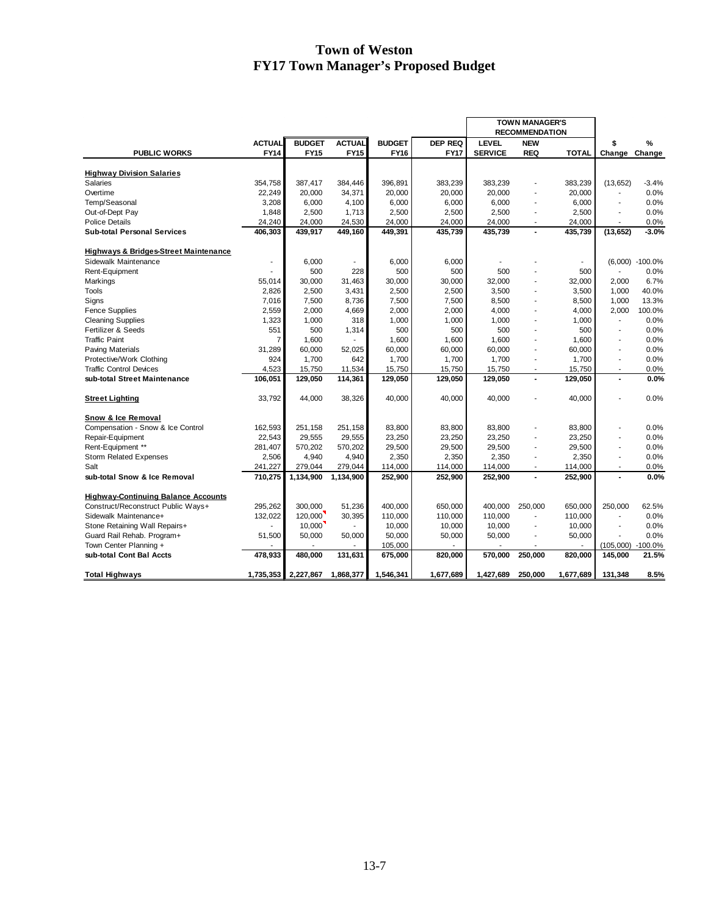|                                                  |                |               |                |               |                | <b>TOWN MANAGER'S</b> |                          |              |                          |                    |
|--------------------------------------------------|----------------|---------------|----------------|---------------|----------------|-----------------------|--------------------------|--------------|--------------------------|--------------------|
|                                                  |                |               |                |               |                |                       | <b>RECOMMENDATION</b>    |              |                          |                    |
|                                                  | <b>ACTUAL</b>  | <b>BUDGET</b> | <b>ACTUAL</b>  | <b>BUDGET</b> | <b>DEP REQ</b> | <b>LEVEL</b>          | <b>NEW</b>               |              | \$                       | %                  |
| <b>PUBLIC WORKS</b>                              | <b>FY14</b>    | <b>FY15</b>   | <b>FY15</b>    | <b>FY16</b>   | <b>FY17</b>    | <b>SERVICE</b>        | <b>REQ</b>               | <b>TOTAL</b> | Change                   | Change             |
|                                                  |                |               |                |               |                |                       |                          |              |                          |                    |
| <b>Highway Division Salaries</b>                 |                |               |                |               |                |                       |                          |              |                          |                    |
| <b>Salaries</b>                                  | 354,758        | 387,417       | 384,446        | 396,891       | 383,239        | 383,239               | ٠                        | 383,239      | (13, 652)                | $-3.4%$            |
| Overtime                                         | 22.249         | 20,000        | 34,371         | 20,000        | 20,000         | 20,000                | $\overline{a}$           | 20.000       | $\overline{\phantom{a}}$ | 0.0%               |
| Temp/Seasonal                                    | 3,208          | 6,000         | 4,100          | 6,000         | 6,000          | 6,000                 | ÷                        | 6,000        | ÷.                       | 0.0%               |
| Out-of-Dept Pay                                  | 1,848          | 2,500         | 1,713          | 2,500         | 2,500          | 2,500                 | ۰                        | 2,500        | $\blacksquare$           | 0.0%               |
| <b>Police Details</b>                            | 24,240         | 24,000        | 24,530         | 24,000        | 24,000         | 24,000                | $\blacksquare$           | 24,000       | $\blacksquare$           | 0.0%               |
| <b>Sub-total Personal Services</b>               | 406,303        | 439,917       | 449,160        | 449,391       | 435,739        | 435,739               | ÷.                       | 435,739      | (13, 652)                | $-3.0%$            |
| <b>Highways &amp; Bridges-Street Maintenance</b> |                |               |                |               |                |                       |                          |              |                          |                    |
| Sidewalk Maintenance                             | $\blacksquare$ | 6.000         | $\blacksquare$ | 6,000         | 6.000          |                       |                          | ٠            |                          | $(6.000) -100.0\%$ |
| Rent-Equipment                                   |                | 500           | 228            | 500           | 500            | 500                   |                          | 500          | $\sim$                   | 0.0%               |
| Markings                                         | 55.014         | 30,000        | 31,463         | 30,000        | 30,000         | 32,000                | ÷,                       | 32,000       | 2.000                    | 6.7%               |
| <b>Tools</b>                                     | 2,826          | 2,500         | 3,431          | 2,500         | 2,500          | 3,500                 | ä,                       | 3,500        | 1,000                    | 40.0%              |
| Signs                                            | 7,016          | 7,500         | 8,736          | 7,500         | 7,500          | 8,500                 | ۰                        | 8,500        | 1,000                    | 13.3%              |
| <b>Fence Supplies</b>                            | 2,559          | 2,000         | 4,669          | 2,000         | 2,000          | 4,000                 | ٠                        | 4.000        | 2,000                    | 100.0%             |
| <b>Cleaning Supplies</b>                         | 1,323          | 1,000         | 318            | 1,000         | 1,000          | 1,000                 | ٠                        | 1,000        | $\blacksquare$           | 0.0%               |
| Fertilizer & Seeds                               | 551            | 500           | 1,314          | 500           | 500            | 500                   | ۰                        | 500          | $\blacksquare$           | 0.0%               |
| <b>Traffic Paint</b>                             | $\overline{7}$ | 1,600         |                | 1,600         | 1,600          | 1,600                 | ÷                        | 1,600        | $\overline{a}$           | 0.0%               |
| Paving Materials                                 | 31,289         | 60,000        | 52,025         | 60,000        | 60,000         | 60,000                | ٠                        | 60.000       | $\blacksquare$           | 0.0%               |
| Protective/Work Clothing                         | 924            | 1,700         | 642            | 1,700         | 1,700          | 1.700                 | ۰                        | 1.700        | $\overline{\phantom{a}}$ | 0.0%               |
| <b>Traffic Control Devices</b>                   | 4,523          | 15,750        | 11,534         | 15,750        | 15,750         | 15,750                | ٠                        | 15,750       | $\overline{\phantom{a}}$ | 0.0%               |
| sub-total Street Maintenance                     | 106,051        | 129,050       | 114,361        | 129,050       | 129,050        | 129,050               | $\blacksquare$           | 129,050      | $\blacksquare$           | 0.0%               |
|                                                  |                |               |                |               |                |                       |                          |              |                          |                    |
| <b>Street Lighting</b>                           | 33,792         | 44,000        | 38,326         | 40,000        | 40,000         | 40,000                | ٠                        | 40,000       |                          | 0.0%               |
| Snow & Ice Removal                               |                |               |                |               |                |                       |                          |              |                          |                    |
| Compensation - Snow & Ice Control                | 162,593        | 251,158       | 251,158        | 83,800        | 83,800         | 83,800                | $\overline{\phantom{a}}$ | 83,800       | $\overline{a}$           | 0.0%               |
| Repair-Equipment                                 | 22,543         | 29,555        | 29,555         | 23,250        | 23,250         | 23,250                | ٠                        | 23,250       | ÷,                       | 0.0%               |
| Rent-Equipment **                                | 281,407        | 570,202       | 570,202        | 29,500        | 29,500         | 29,500                | ٠                        | 29.500       | $\overline{\phantom{a}}$ | 0.0%               |
| <b>Storm Related Expenses</b>                    | 2.506          | 4,940         | 4.940          | 2,350         | 2,350          | 2.350                 | ۰                        | 2.350        | $\blacksquare$           | 0.0%               |
| Salt                                             | 241,227        | 279,044       | 279,044        | 114,000       | 114,000        | 114,000               | $\blacksquare$           | 114,000      | $\blacksquare$           | 0.0%               |
| sub-total Snow & Ice Removal                     | 710,275        | 1,134,900     | 1,134,900      | 252,900       | 252,900        | 252,900               | $\blacksquare$           | 252,900      |                          | 0.0%               |
| <b>Highway-Continuing Balance Accounts</b>       |                |               |                |               |                |                       |                          |              |                          |                    |
| Construct/Reconstruct Public Ways+               | 295,262        | 300,000       | 51,236         | 400,000       | 650,000        | 400,000               | 250,000                  | 650,000      | 250,000                  | 62.5%              |
| Sidewalk Maintenance+                            | 132.022        | 120.000       | 30,395         | 110,000       | 110,000        | 110,000               | ۰                        | 110,000      |                          | 0.0%               |
| Stone Retaining Wall Repairs+                    |                | 10,000        |                | 10,000        | 10,000         | 10,000                |                          | 10,000       |                          | 0.0%               |
| Guard Rail Rehab. Program+                       | 51,500         | 50,000        | 50,000         | 50,000        | 50,000         | 50,000                | ÷,                       | 50,000       | $\overline{a}$           | 0.0%               |
| Town Center Planning +                           |                |               |                | 105,000       |                |                       |                          |              | $(105,000) -100.0\%$     |                    |
| sub-total Cont Bal Accts                         | 478,933        | 480,000       | 131,631        | 675,000       | 820,000        | 570,000               | 250,000                  | 820,000      | 145,000                  | 21.5%              |
|                                                  |                |               |                |               |                |                       |                          |              |                          |                    |
| <b>Total Highways</b>                            | 1,735,353      | 2,227,867     | 1,868,377      | 1,546,341     | 1,677,689      | 1,427,689             | 250.000                  | 1,677,689    | 131,348                  | 8.5%               |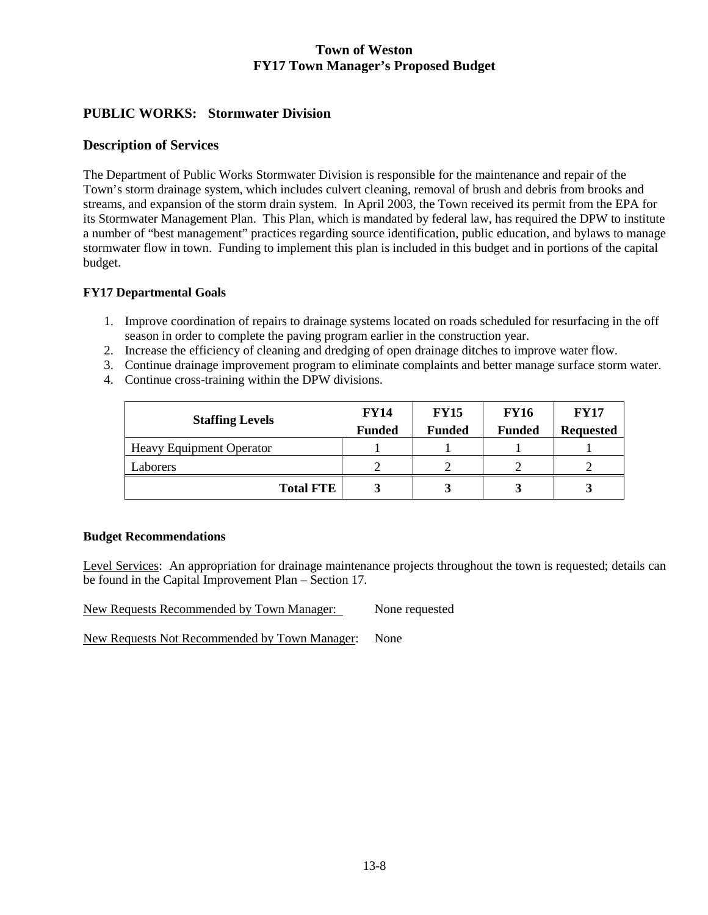# **PUBLIC WORKS: Stormwater Division**

### **Description of Services**

The Department of Public Works Stormwater Division is responsible for the maintenance and repair of the Town's storm drainage system, which includes culvert cleaning, removal of brush and debris from brooks and streams, and expansion of the storm drain system. In April 2003, the Town received its permit from the EPA for its Stormwater Management Plan. This Plan, which is mandated by federal law, has required the DPW to institute a number of "best management" practices regarding source identification, public education, and bylaws to manage stormwater flow in town. Funding to implement this plan is included in this budget and in portions of the capital budget.

### **FY17 Departmental Goals**

- 1. Improve coordination of repairs to drainage systems located on roads scheduled for resurfacing in the off season in order to complete the paving program earlier in the construction year.
- 2. Increase the efficiency of cleaning and dredging of open drainage ditches to improve water flow.
- 3. Continue drainage improvement program to eliminate complaints and better manage surface storm water.
- 4. Continue cross-training within the DPW divisions.

| <b>Staffing Levels</b>          | <b>FY14</b>   | <b>FY15</b>   | <b>FY16</b>   | <b>FY17</b>      |
|---------------------------------|---------------|---------------|---------------|------------------|
|                                 | <b>Funded</b> | <b>Funded</b> | <b>Funded</b> | <b>Requested</b> |
| <b>Heavy Equipment Operator</b> |               |               |               |                  |
| Laborers                        |               |               |               |                  |
| <b>Total FTE</b>                |               |               |               |                  |

#### **Budget Recommendations**

Level Services: An appropriation for drainage maintenance projects throughout the town is requested; details can be found in the Capital Improvement Plan – Section 17.

New Requests Recommended by Town Manager: None requested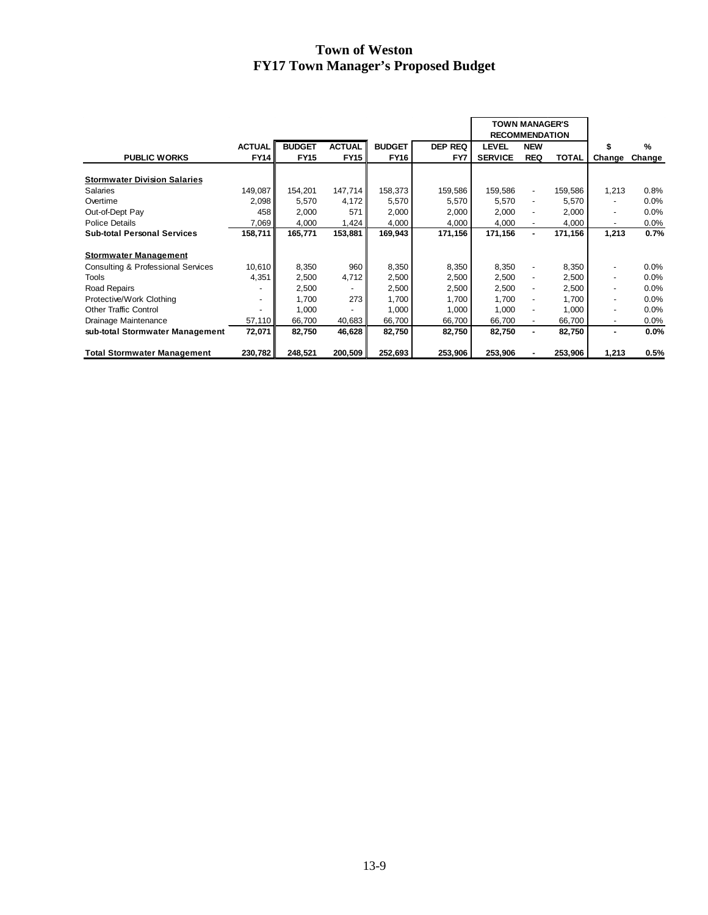|                                               |                          |               |               |               |                | <b>TOWN MANAGER'S</b><br><b>RECOMMENDATION</b> |                          |              |                          |        |
|-----------------------------------------------|--------------------------|---------------|---------------|---------------|----------------|------------------------------------------------|--------------------------|--------------|--------------------------|--------|
|                                               | <b>ACTUAL</b>            | <b>BUDGET</b> | <b>ACTUAL</b> | <b>BUDGET</b> | <b>DEP REQ</b> | <b>LEVEL</b>                                   | <b>NEW</b>               |              |                          | %      |
| <b>PUBLIC WORKS</b>                           | <b>FY14</b>              | <b>FY15</b>   | <b>FY15</b>   | <b>FY16</b>   | FY7            | <b>SERVICE</b>                                 | <b>REQ</b>               | <b>TOTAL</b> | Change                   | Change |
|                                               |                          |               |               |               |                |                                                |                          |              |                          |        |
| <b>Stormwater Division Salaries</b>           |                          |               |               |               |                |                                                |                          |              |                          |        |
| <b>Salaries</b>                               | 149,087                  | 154,201       | 147,714       | 158,373       | 159,586        | 159,586                                        | ۰                        | 159,586      | 1,213                    | 0.8%   |
| Overtime                                      | 2,098                    | 5,570         | 4,172         | 5,570         | 5,570          | 5,570                                          | $\overline{\phantom{0}}$ | 5,570        | $\overline{\phantom{0}}$ | 0.0%   |
| Out-of-Dept Pay                               | 458                      | 2,000         | 571           | 2,000         | 2,000          | 2,000                                          | ٠                        | 2,000        | ۰                        | 0.0%   |
| <b>Police Details</b>                         | 7,069                    | 4,000         | 1,424         | 4,000         | 4,000          | 4,000                                          |                          | 4,000        | ٠                        | 0.0%   |
| <b>Sub-total Personal Services</b>            | 158,711                  | 165,771       | 153,881       | 169,943       | 171,156        | 171,156                                        | ۰.                       | 171,156      | 1,213                    | 0.7%   |
|                                               |                          |               |               |               |                |                                                |                          |              |                          |        |
| <b>Stormwater Management</b>                  |                          |               |               |               |                |                                                |                          |              |                          |        |
| <b>Consulting &amp; Professional Services</b> | 10,610                   | 8,350         | 960           | 8,350         | 8,350          | 8,350                                          |                          | 8,350        | ٠                        | 0.0%   |
| <b>Tools</b>                                  | 4,351                    | 2,500         | 4,712         | 2,500         | 2,500          | 2,500                                          |                          | 2,500        | ۰                        | 0.0%   |
| Road Repairs                                  |                          | 2,500         |               | 2,500         | 2,500          | 2,500                                          | ۰                        | 2,500        | $\overline{\phantom{a}}$ | 0.0%   |
| Protective/Work Clothing                      | $\overline{\phantom{a}}$ | 1,700         | 273           | 1,700         | 1,700          | 1.700                                          | ٠                        | 1.700        | $\overline{\phantom{0}}$ | 0.0%   |
| <b>Other Traffic Control</b>                  |                          | 1,000         |               | 1,000         | 1,000          | 1,000                                          | ۰                        | 1,000        | ۰                        | 0.0%   |
| Drainage Maintenance                          | 57,110                   | 66,700        | 40,683        | 66,700        | 66,700         | 66,700                                         | ۰.                       | 66,700       | $\overline{\phantom{a}}$ | 0.0%   |
| sub-total Stormwater Management               | 72,071                   | 82,750        | 46,628        | 82,750        | 82,750         | 82,750                                         | ۰.                       | 82,750       | ۰                        | 0.0%   |
|                                               |                          |               |               |               |                |                                                |                          |              |                          |        |
| <b>Total Stormwater Management</b>            | 230,782                  | 248,521       | 200,509       | 252,693       | 253,906        | 253,906                                        |                          | 253,906      | 1,213                    | 0.5%   |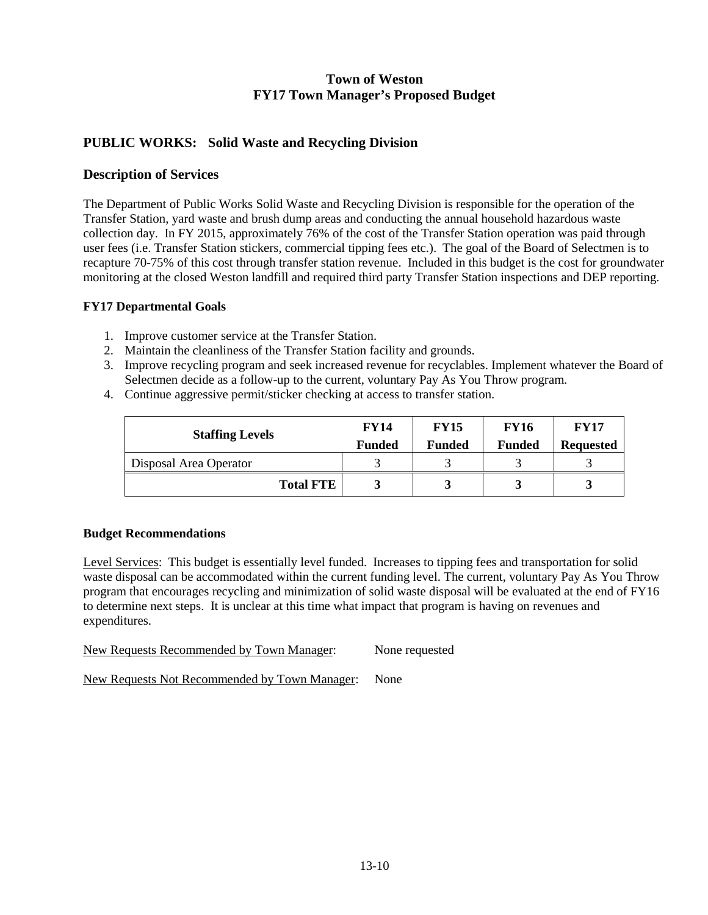# **PUBLIC WORKS: Solid Waste and Recycling Division**

### **Description of Services**

The Department of Public Works Solid Waste and Recycling Division is responsible for the operation of the Transfer Station, yard waste and brush dump areas and conducting the annual household hazardous waste collection day. In FY 2015, approximately 76% of the cost of the Transfer Station operation was paid through user fees (i.e. Transfer Station stickers, commercial tipping fees etc.). The goal of the Board of Selectmen is to recapture 70-75% of this cost through transfer station revenue. Included in this budget is the cost for groundwater monitoring at the closed Weston landfill and required third party Transfer Station inspections and DEP reporting.

#### **FY17 Departmental Goals**

- 1. Improve customer service at the Transfer Station.
- 2. Maintain the cleanliness of the Transfer Station facility and grounds.
- 3. Improve recycling program and seek increased revenue for recyclables. Implement whatever the Board of Selectmen decide as a follow-up to the current, voluntary Pay As You Throw program.
- 4. Continue aggressive permit/sticker checking at access to transfer station.

| <b>Staffing Levels</b> | <b>FY14</b><br><b>Funded</b> | <b>FY15</b><br><b>Funded</b> | <b>FY16</b><br><b>Funded</b> | <b>FY17</b><br><b>Requested</b> |  |
|------------------------|------------------------------|------------------------------|------------------------------|---------------------------------|--|
| Disposal Area Operator |                              |                              |                              |                                 |  |
| <b>Total FTE</b>       |                              | Ĵ                            |                              |                                 |  |

#### **Budget Recommendations**

Level Services: This budget is essentially level funded. Increases to tipping fees and transportation for solid waste disposal can be accommodated within the current funding level. The current, voluntary Pay As You Throw program that encourages recycling and minimization of solid waste disposal will be evaluated at the end of FY16 to determine next steps. It is unclear at this time what impact that program is having on revenues and expenditures.

| New Requests Recommended by Town Manager: | None requested |
|-------------------------------------------|----------------|
|                                           |                |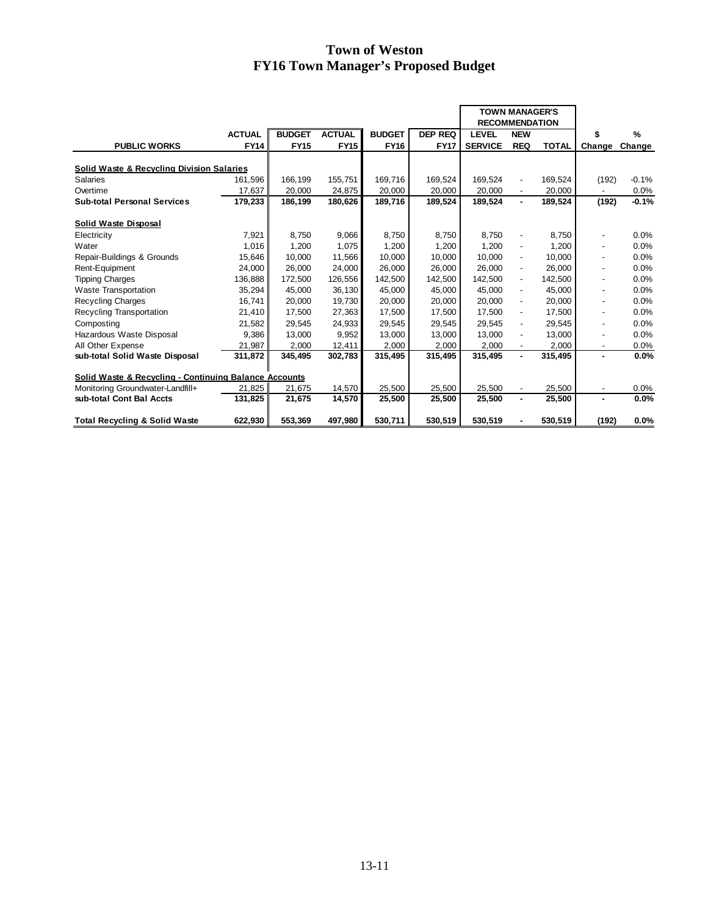|                                                       |               |               |               |               |             | <b>TOWN MANAGER'S</b><br><b>RECOMMENDATION</b> |                          |              |                              |         |
|-------------------------------------------------------|---------------|---------------|---------------|---------------|-------------|------------------------------------------------|--------------------------|--------------|------------------------------|---------|
|                                                       | <b>ACTUAL</b> | <b>BUDGET</b> | <b>ACTUAL</b> | <b>BUDGET</b> | DEP REQ     | <b>LEVEL</b>                                   | <b>NEW</b>               |              |                              | %       |
| <b>PUBLIC WORKS</b>                                   | <b>FY14</b>   | <b>FY15</b>   | <b>FY15</b>   | <b>FY16</b>   | <b>FY17</b> | <b>SERVICE</b>                                 | <b>REQ</b>               | <b>TOTAL</b> | Change                       | Change  |
| <b>Solid Waste &amp; Recycling Division Salaries</b>  |               |               |               |               |             |                                                |                          |              |                              |         |
| Salaries                                              | 161.596       | 166,199       | 155,751       | 169.716       | 169,524     | 169.524                                        |                          | 169.524      | (192)                        | $-0.1%$ |
| Overtime                                              | 17,637        | 20,000        | 24,875        | 20,000        | 20,000      | 20,000                                         | $\overline{\phantom{a}}$ | 20,000       |                              | 0.0%    |
|                                                       |               |               |               |               |             |                                                | $\overline{\phantom{a}}$ |              |                              |         |
| <b>Sub-total Personal Services</b>                    | 179,233       | 186,199       | 180,626       | 189,716       | 189,524     | 189,524                                        | $\blacksquare$           | 189,524      | (192)                        | $-0.1%$ |
| Solid Waste Disposal                                  |               |               |               |               |             |                                                |                          |              |                              |         |
| Electricity                                           | 7.921         | 8.750         | 9,066         | 8.750         | 8,750       | 8.750                                          | $\overline{a}$           | 8,750        |                              | 0.0%    |
| Water                                                 | 1,016         | 1,200         | 1.075         | 1,200         | 1,200       | 1.200                                          | $\overline{\phantom{m}}$ | 1,200        |                              | 0.0%    |
| Repair-Buildings & Grounds                            | 15,646        | 10,000        | 11,566        | 10,000        | 10,000      | 10,000                                         | $\overline{a}$           | 10,000       | -                            | 0.0%    |
| Rent-Equipment                                        | 24,000        | 26,000        | 24,000        | 26,000        | 26,000      | 26,000                                         | $\overline{\phantom{m}}$ | 26,000       |                              | 0.0%    |
| <b>Tipping Charges</b>                                | 136,888       | 172,500       | 126,556       | 142,500       | 142,500     | 142,500                                        | $\overline{\phantom{a}}$ | 142,500      | -                            | 0.0%    |
| <b>Waste Transportation</b>                           | 35,294        | 45,000        | 36,130        | 45,000        | 45,000      | 45,000                                         | $\overline{a}$           | 45.000       | $\qquad \qquad \blacksquare$ | 0.0%    |
| <b>Recycling Charges</b>                              | 16,741        | 20,000        | 19,730        | 20,000        | 20,000      | 20,000                                         | $\overline{a}$           | 20,000       | $\overline{\phantom{0}}$     | 0.0%    |
| Recycling Transportation                              | 21,410        | 17,500        | 27,363        | 17,500        | 17.500      | 17.500                                         | $\overline{a}$           | 17.500       | $\qquad \qquad \blacksquare$ | 0.0%    |
| Composting                                            | 21,582        | 29,545        | 24,933        | 29,545        | 29,545      | 29,545                                         | $\overline{\phantom{a}}$ | 29,545       | $\qquad \qquad \blacksquare$ | 0.0%    |
| Hazardous Waste Disposal                              | 9,386         | 13,000        | 9,952         | 13,000        | 13,000      | 13,000                                         | $\overline{a}$           | 13,000       | $\overline{\phantom{0}}$     | 0.0%    |
| All Other Expense                                     | 21,987        | 2,000         | 12,411        | 2,000         | 2,000       | 2,000                                          |                          | 2,000        | $\overline{\phantom{a}}$     | 0.0%    |
| sub-total Solid Waste Disposal                        | 311,872       | 345,495       | 302,783       | 315,495       | 315,495     | 315,495                                        | $\blacksquare$           | 315,495      | ٠                            | 0.0%    |
|                                                       |               |               |               |               |             |                                                |                          |              |                              |         |
| Solid Waste & Recycling - Continuing Balance Accounts |               |               |               |               |             |                                                |                          |              |                              |         |
| Monitoring Groundwater-Landfill+                      | 21,825        | 21,675        | 14,570        | 25,500        | 25,500      | 25,500                                         |                          | 25,500       | $\overline{\phantom{a}}$     | 0.0%    |
| sub-total Cont Bal Accts                              | 131,825       | 21,675        | 14,570        | 25,500        | 25,500      | 25,500                                         | ٠                        | 25,500       | ٠                            | 0.0%    |
| <b>Total Recycling &amp; Solid Waste</b>              | 622,930       | 553,369       | 497,980       | 530,711       | 530,519     | 530,519                                        |                          | 530,519      | (192)                        | 0.0%    |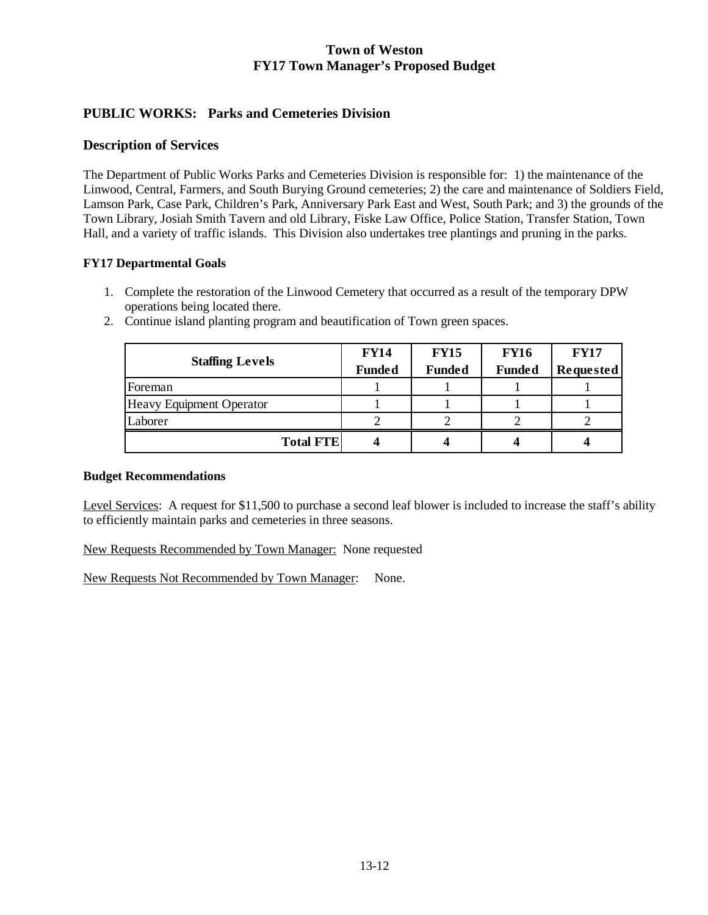# **PUBLIC WORKS: Parks and Cemeteries Division**

### **Description of Services**

The Department of Public Works Parks and Cemeteries Division is responsible for: 1) the maintenance of the Linwood, Central, Farmers, and South Burying Ground cemeteries; 2) the care and maintenance of Soldiers Field, Lamson Park, Case Park, Children's Park, Anniversary Park East and West, South Park; and 3) the grounds of the Town Library, Josiah Smith Tavern and old Library, Fiske Law Office, Police Station, Transfer Station, Town Hall, and a variety of traffic islands. This Division also undertakes tree plantings and pruning in the parks.

### **FY17 Departmental Goals**

1. Complete the restoration of the Linwood Cemetery that occurred as a result of the temporary DPW operations being located there.

|                          | <b>FY14</b>   | <b>FY15</b>   | <b>FY16</b>   | <b>FY17</b>      |  |
|--------------------------|---------------|---------------|---------------|------------------|--|
| <b>Staffing Levels</b>   | <b>Funded</b> | <b>Funded</b> | <b>Funded</b> | <b>Requested</b> |  |
| Foreman                  |               |               |               |                  |  |
| Heavy Equipment Operator |               |               |               |                  |  |
| Laborer                  |               |               |               |                  |  |
| <b>Total FTE</b>         |               |               |               |                  |  |

2. Continue island planting program and beautification of Town green spaces.

#### **Budget Recommendations**

Level Services: A request for \$11,500 to purchase a second leaf blower is included to increase the staff's ability to efficiently maintain parks and cemeteries in three seasons.

New Requests Recommended by Town Manager: None requested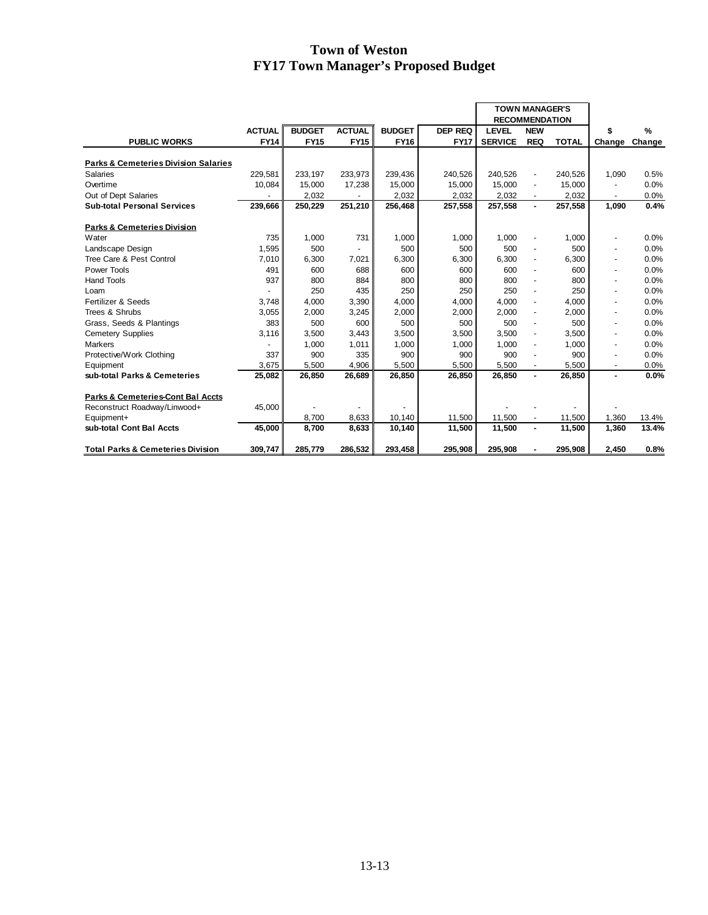|                                                 |               |               |               |               |                |                       | <b>TOWN MANAGER'S</b> |              |                |               |
|-------------------------------------------------|---------------|---------------|---------------|---------------|----------------|-----------------------|-----------------------|--------------|----------------|---------------|
|                                                 |               |               |               |               |                | <b>RECOMMENDATION</b> |                       |              |                |               |
|                                                 | <b>ACTUAL</b> | <b>BUDGET</b> | <b>ACTUAL</b> | <b>BUDGET</b> | <b>DEP REQ</b> | <b>LEVEL</b>          | <b>NEW</b>            |              | \$             | $\frac{9}{6}$ |
| <b>PUBLIC WORKS</b>                             | <b>FY14</b>   | <b>FY15</b>   | <b>FY15</b>   | <b>FY16</b>   | <b>FY17</b>    | <b>SERVICE</b>        | <b>REQ</b>            | <b>TOTAL</b> | Change         | Change        |
|                                                 |               |               |               |               |                |                       |                       |              |                |               |
| <b>Parks &amp; Cemeteries Division Salaries</b> |               |               |               |               |                |                       |                       |              |                |               |
| <b>Salaries</b>                                 | 229,581       | 233,197       | 233,973       | 239,436       | 240,526        | 240,526               | ٠                     | 240,526      | 1,090          | 0.5%          |
| Overtime                                        | 10,084        | 15,000        | 17,238        | 15,000        | 15.000         | 15.000                | ٠                     | 15,000       |                | 0.0%          |
| Out of Dept Salaries                            |               | 2.032         |               | 2,032         | 2.032          | 2.032                 |                       | 2.032        |                | 0.0%          |
| <b>Sub-total Personal Services</b>              | 239,666       | 250,229       | 251,210       | 256,468       | 257,558        | 257,558               | $\blacksquare$        | 257,558      | 1,090          | 0.4%          |
|                                                 |               |               |               |               |                |                       |                       |              |                |               |
| <b>Parks &amp; Cemeteries Division</b>          |               |               |               |               |                |                       |                       |              |                |               |
| Water                                           | 735           | 1,000         | 731           | 1,000         | 1,000          | 1,000                 |                       | 1,000        | ٠              | 0.0%          |
| Landscape Design                                | 1,595         | 500           |               | 500           | 500            | 500                   |                       | 500          | ٠              | 0.0%          |
| Tree Care & Pest Control                        | 7,010         | 6,300         | 7,021         | 6,300         | 6,300          | 6,300                 | ٠                     | 6,300        | ٠              | 0.0%          |
| Power Tools                                     | 491           | 600           | 688           | 600           | 600            | 600                   |                       | 600          | ٠              | 0.0%          |
| <b>Hand Tools</b>                               | 937           | 800           | 884           | 800           | 800            | 800                   |                       | 800          | ٠              | 0.0%          |
| Loam                                            |               | 250           | 435           | 250           | 250            | 250                   | ÷.                    | 250          | $\blacksquare$ | 0.0%          |
| Fertilizer & Seeds                              | 3.748         | 4,000         | 3,390         | 4,000         | 4,000          | 4.000                 | ÷                     | 4,000        | ٠              | 0.0%          |
| Trees & Shrubs                                  | 3,055         | 2,000         | 3,245         | 2,000         | 2,000          | 2.000                 | ÷                     | 2,000        | ٠              | 0.0%          |
| Grass, Seeds & Plantings                        | 383           | 500           | 600           | 500           | 500            | 500                   |                       | 500          | ٠              | 0.0%          |
| <b>Cemetery Supplies</b>                        | 3,116         | 3,500         | 3,443         | 3,500         | 3,500          | 3,500                 | ٠                     | 3,500        | ٠              | 0.0%          |
| Markers                                         |               | 1,000         | 1,011         | 1,000         | 1,000          | 1,000                 | ä,                    | 1,000        | ٠              | 0.0%          |
| Protective/Work Clothing                        | 337           | 900           | 335           | 900           | 900            | 900                   |                       | 900          | ٠              | 0.0%          |
| Equipment                                       | 3.675         | 5.500         | 4.906         | 5,500         | 5,500          | 5,500                 | $\blacksquare$        | 5.500        | ٠              | 0.0%          |
| sub-total Parks & Cemeteries                    | 25.082        | 26,850        | 26.689        | 26,850        | 26.850         | 26.850                | $\blacksquare$        | 26,850       | $\blacksquare$ | 0.0%          |
| Parks & Cemeteries-Cont Bal Accts               |               |               |               |               |                |                       |                       |              |                |               |
|                                                 | 45,000        |               |               |               |                |                       |                       |              |                |               |
| Reconstruct Roadway/Linwood+<br>Equipment+      |               | 8,700         | 8,633         | 10,140        | 11,500         | 11,500                | $\blacksquare$        | 11,500       | 1,360          | 13.4%         |
| sub-total Cont Bal Accts                        | 45,000        | 8,700         | 8,633         | 10,140        | 11,500         | 11,500                | $\blacksquare$        | 11,500       | 1,360          | 13.4%         |
|                                                 |               |               |               |               |                |                       |                       |              |                |               |
| <b>Total Parks &amp; Cemeteries Division</b>    | 309,747       | 285,779       | 286,532       | 293,458       | 295,908        | 295,908               | $\blacksquare$        | 295,908      | 2,450          | 0.8%          |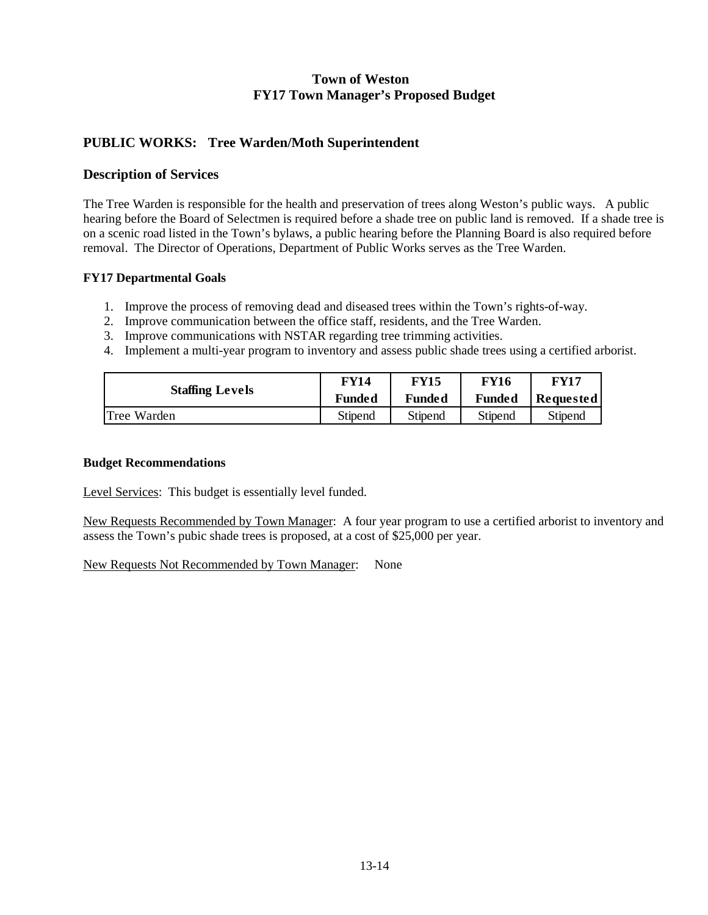## **PUBLIC WORKS: Tree Warden/Moth Superintendent**

### **Description of Services**

The Tree Warden is responsible for the health and preservation of trees along Weston's public ways. A public hearing before the Board of Selectmen is required before a shade tree on public land is removed. If a shade tree is on a scenic road listed in the Town's bylaws, a public hearing before the Planning Board is also required before removal. The Director of Operations, Department of Public Works serves as the Tree Warden.

### **FY17 Departmental Goals**

- 1. Improve the process of removing dead and diseased trees within the Town's rights-of-way.
- 2. Improve communication between the office staff, residents, and the Tree Warden.
- 3. Improve communications with NSTAR regarding tree trimming activities.
- 4. Implement a multi-year program to inventory and assess public shade trees using a certified arborist.

| <b>Staffing Levels</b> | <b>FY14</b> | <b>FY15</b> | <b>FY16</b> | FY17             |  |
|------------------------|-------------|-------------|-------------|------------------|--|
|                        | Funded      | Funded      | Funded      | <b>Requested</b> |  |
| Tree Warden            | Stipend     | Stipend     | Stipend     | Stipend          |  |

#### **Budget Recommendations**

Level Services: This budget is essentially level funded.

New Requests Recommended by Town Manager: A four year program to use a certified arborist to inventory and assess the Town's pubic shade trees is proposed, at a cost of \$25,000 per year.